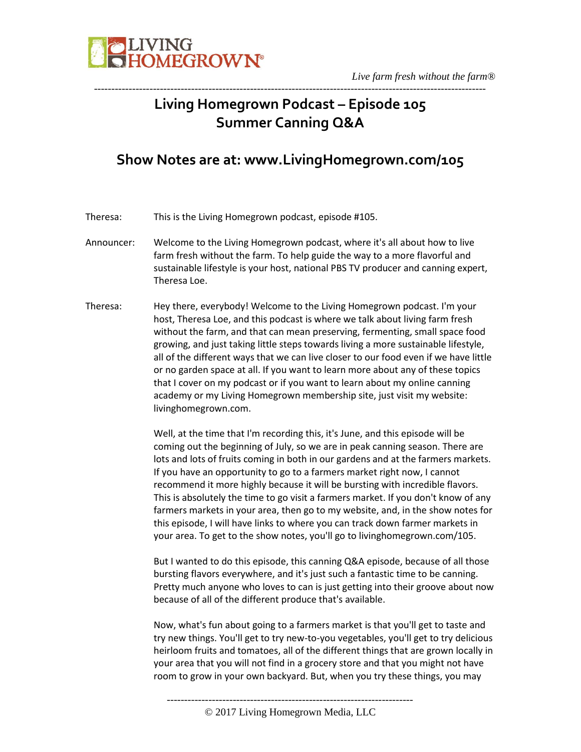

# **Living Homegrown Podcast – Episode 105 Summer Canning Q&A**

-----------------------------------------------------------------------------------------------------------------

# **Show Notes are at: www.LivingHomegrown.com/105**

Theresa: This is the Living Homegrown podcast, episode #105.

- Announcer: Welcome to the Living Homegrown podcast, where it's all about how to live farm fresh without the farm. To help guide the way to a more flavorful and sustainable lifestyle is your host, national PBS TV producer and canning expert, Theresa Loe.
- Theresa: Hey there, everybody! Welcome to the Living Homegrown podcast. I'm your host, Theresa Loe, and this podcast is where we talk about living farm fresh without the farm, and that can mean preserving, fermenting, small space food growing, and just taking little steps towards living a more sustainable lifestyle, all of the different ways that we can live closer to our food even if we have little or no garden space at all. If you want to learn more about any of these topics that I cover on my podcast or if you want to learn about my online canning academy or my Living Homegrown membership site, just visit my website: livinghomegrown.com.

Well, at the time that I'm recording this, it's June, and this episode will be coming out the beginning of July, so we are in peak canning season. There are lots and lots of fruits coming in both in our gardens and at the farmers markets. If you have an opportunity to go to a farmers market right now, I cannot recommend it more highly because it will be bursting with incredible flavors. This is absolutely the time to go visit a farmers market. If you don't know of any farmers markets in your area, then go to my website, and, in the show notes for this episode, I will have links to where you can track down farmer markets in your area. To get to the show notes, you'll go to livinghomegrown.com/105.

But I wanted to do this episode, this canning Q&A episode, because of all those bursting flavors everywhere, and it's just such a fantastic time to be canning. Pretty much anyone who loves to can is just getting into their groove about now because of all of the different produce that's available.

Now, what's fun about going to a farmers market is that you'll get to taste and try new things. You'll get to try new-to-you vegetables, you'll get to try delicious heirloom fruits and tomatoes, all of the different things that are grown locally in your area that you will not find in a grocery store and that you might not have room to grow in your own backyard. But, when you try these things, you may

<sup>-----------------------------------------------------------------------</sup>

<sup>© 2017</sup> Living Homegrown Media, LLC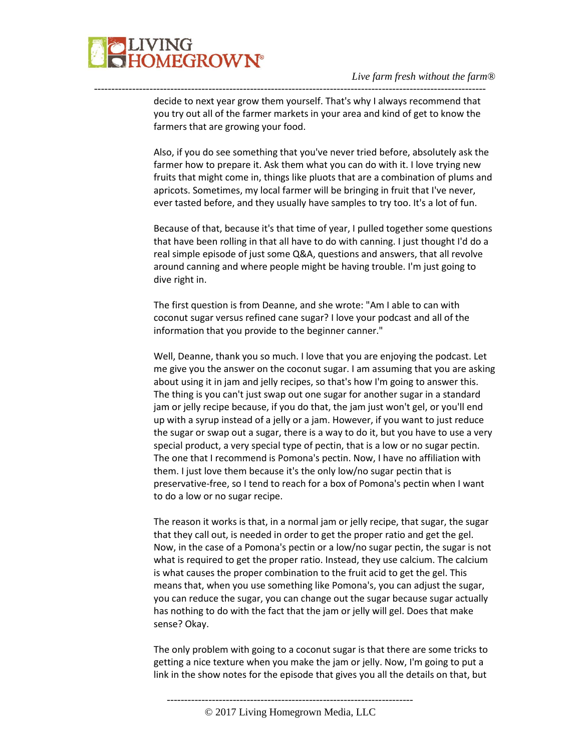

decide to next year grow them yourself. That's why I always recommend that you try out all of the farmer markets in your area and kind of get to know the farmers that are growing your food.

-----------------------------------------------------------------------------------------------------------------

Also, if you do see something that you've never tried before, absolutely ask the farmer how to prepare it. Ask them what you can do with it. I love trying new fruits that might come in, things like pluots that are a combination of plums and apricots. Sometimes, my local farmer will be bringing in fruit that I've never, ever tasted before, and they usually have samples to try too. It's a lot of fun.

Because of that, because it's that time of year, I pulled together some questions that have been rolling in that all have to do with canning. I just thought I'd do a real simple episode of just some Q&A, questions and answers, that all revolve around canning and where people might be having trouble. I'm just going to dive right in.

The first question is from Deanne, and she wrote: "Am I able to can with coconut sugar versus refined cane sugar? I love your podcast and all of the information that you provide to the beginner canner."

Well, Deanne, thank you so much. I love that you are enjoying the podcast. Let me give you the answer on the coconut sugar. I am assuming that you are asking about using it in jam and jelly recipes, so that's how I'm going to answer this. The thing is you can't just swap out one sugar for another sugar in a standard jam or jelly recipe because, if you do that, the jam just won't gel, or you'll end up with a syrup instead of a jelly or a jam. However, if you want to just reduce the sugar or swap out a sugar, there is a way to do it, but you have to use a very special product, a very special type of pectin, that is a low or no sugar pectin. The one that I recommend is Pomona's pectin. Now, I have no affiliation with them. I just love them because it's the only low/no sugar pectin that is preservative-free, so I tend to reach for a box of Pomona's pectin when I want to do a low or no sugar recipe.

The reason it works is that, in a normal jam or jelly recipe, that sugar, the sugar that they call out, is needed in order to get the proper ratio and get the gel. Now, in the case of a Pomona's pectin or a low/no sugar pectin, the sugar is not what is required to get the proper ratio. Instead, they use calcium. The calcium is what causes the proper combination to the fruit acid to get the gel. This means that, when you use something like Pomona's, you can adjust the sugar, you can reduce the sugar, you can change out the sugar because sugar actually has nothing to do with the fact that the jam or jelly will gel. Does that make sense? Okay.

The only problem with going to a coconut sugar is that there are some tricks to getting a nice texture when you make the jam or jelly. Now, I'm going to put a link in the show notes for the episode that gives you all the details on that, but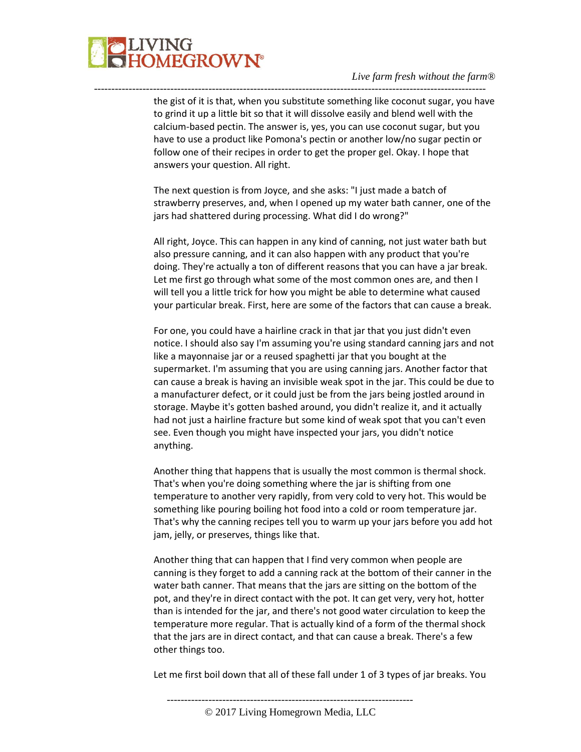

the gist of it is that, when you substitute something like coconut sugar, you have to grind it up a little bit so that it will dissolve easily and blend well with the calcium-based pectin. The answer is, yes, you can use coconut sugar, but you have to use a product like Pomona's pectin or another low/no sugar pectin or follow one of their recipes in order to get the proper gel. Okay. I hope that answers your question. All right.

-----------------------------------------------------------------------------------------------------------------

The next question is from Joyce, and she asks: "I just made a batch of strawberry preserves, and, when I opened up my water bath canner, one of the jars had shattered during processing. What did I do wrong?"

All right, Joyce. This can happen in any kind of canning, not just water bath but also pressure canning, and it can also happen with any product that you're doing. They're actually a ton of different reasons that you can have a jar break. Let me first go through what some of the most common ones are, and then I will tell you a little trick for how you might be able to determine what caused your particular break. First, here are some of the factors that can cause a break.

For one, you could have a hairline crack in that jar that you just didn't even notice. I should also say I'm assuming you're using standard canning jars and not like a mayonnaise jar or a reused spaghetti jar that you bought at the supermarket. I'm assuming that you are using canning jars. Another factor that can cause a break is having an invisible weak spot in the jar. This could be due to a manufacturer defect, or it could just be from the jars being jostled around in storage. Maybe it's gotten bashed around, you didn't realize it, and it actually had not just a hairline fracture but some kind of weak spot that you can't even see. Even though you might have inspected your jars, you didn't notice anything.

Another thing that happens that is usually the most common is thermal shock. That's when you're doing something where the jar is shifting from one temperature to another very rapidly, from very cold to very hot. This would be something like pouring boiling hot food into a cold or room temperature jar. That's why the canning recipes tell you to warm up your jars before you add hot jam, jelly, or preserves, things like that.

Another thing that can happen that I find very common when people are canning is they forget to add a canning rack at the bottom of their canner in the water bath canner. That means that the jars are sitting on the bottom of the pot, and they're in direct contact with the pot. It can get very, very hot, hotter than is intended for the jar, and there's not good water circulation to keep the temperature more regular. That is actually kind of a form of the thermal shock that the jars are in direct contact, and that can cause a break. There's a few other things too.

Let me first boil down that all of these fall under 1 of 3 types of jar breaks. You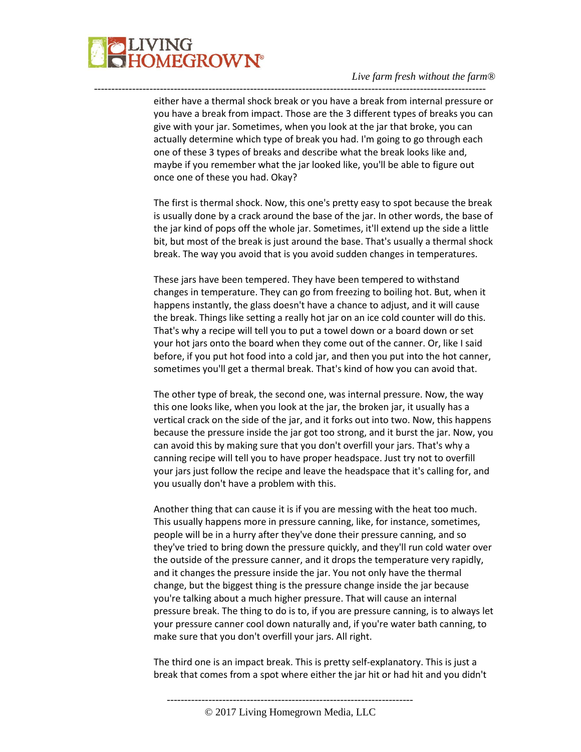

either have a thermal shock break or you have a break from internal pressure or you have a break from impact. Those are the 3 different types of breaks you can give with your jar. Sometimes, when you look at the jar that broke, you can actually determine which type of break you had. I'm going to go through each one of these 3 types of breaks and describe what the break looks like and, maybe if you remember what the jar looked like, you'll be able to figure out once one of these you had. Okay?

-----------------------------------------------------------------------------------------------------------------

The first is thermal shock. Now, this one's pretty easy to spot because the break is usually done by a crack around the base of the jar. In other words, the base of the jar kind of pops off the whole jar. Sometimes, it'll extend up the side a little bit, but most of the break is just around the base. That's usually a thermal shock break. The way you avoid that is you avoid sudden changes in temperatures.

These jars have been tempered. They have been tempered to withstand changes in temperature. They can go from freezing to boiling hot. But, when it happens instantly, the glass doesn't have a chance to adjust, and it will cause the break. Things like setting a really hot jar on an ice cold counter will do this. That's why a recipe will tell you to put a towel down or a board down or set your hot jars onto the board when they come out of the canner. Or, like I said before, if you put hot food into a cold jar, and then you put into the hot canner, sometimes you'll get a thermal break. That's kind of how you can avoid that.

The other type of break, the second one, was internal pressure. Now, the way this one looks like, when you look at the jar, the broken jar, it usually has a vertical crack on the side of the jar, and it forks out into two. Now, this happens because the pressure inside the jar got too strong, and it burst the jar. Now, you can avoid this by making sure that you don't overfill your jars. That's why a canning recipe will tell you to have proper headspace. Just try not to overfill your jars just follow the recipe and leave the headspace that it's calling for, and you usually don't have a problem with this.

Another thing that can cause it is if you are messing with the heat too much. This usually happens more in pressure canning, like, for instance, sometimes, people will be in a hurry after they've done their pressure canning, and so they've tried to bring down the pressure quickly, and they'll run cold water over the outside of the pressure canner, and it drops the temperature very rapidly, and it changes the pressure inside the jar. You not only have the thermal change, but the biggest thing is the pressure change inside the jar because you're talking about a much higher pressure. That will cause an internal pressure break. The thing to do is to, if you are pressure canning, is to always let your pressure canner cool down naturally and, if you're water bath canning, to make sure that you don't overfill your jars. All right.

The third one is an impact break. This is pretty self-explanatory. This is just a break that comes from a spot where either the jar hit or had hit and you didn't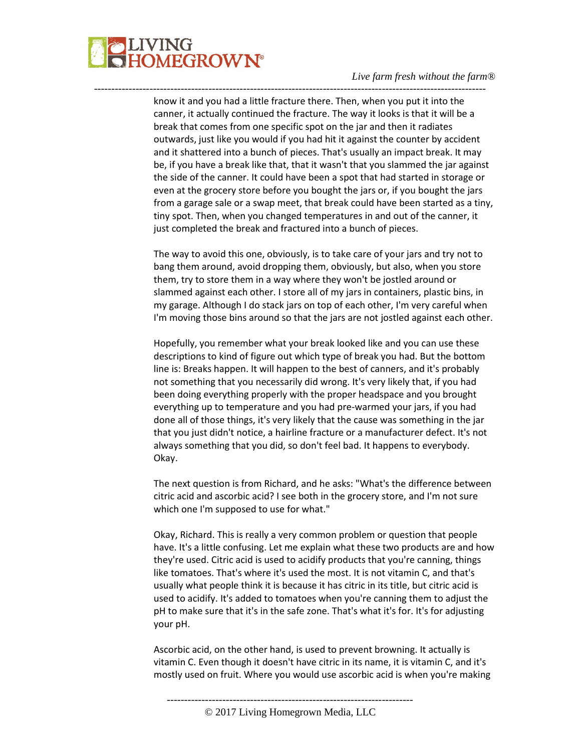

know it and you had a little fracture there. Then, when you put it into the canner, it actually continued the fracture. The way it looks is that it will be a break that comes from one specific spot on the jar and then it radiates outwards, just like you would if you had hit it against the counter by accident and it shattered into a bunch of pieces. That's usually an impact break. It may be, if you have a break like that, that it wasn't that you slammed the jar against the side of the canner. It could have been a spot that had started in storage or even at the grocery store before you bought the jars or, if you bought the jars from a garage sale or a swap meet, that break could have been started as a tiny, tiny spot. Then, when you changed temperatures in and out of the canner, it just completed the break and fractured into a bunch of pieces.

-----------------------------------------------------------------------------------------------------------------

The way to avoid this one, obviously, is to take care of your jars and try not to bang them around, avoid dropping them, obviously, but also, when you store them, try to store them in a way where they won't be jostled around or slammed against each other. I store all of my jars in containers, plastic bins, in my garage. Although I do stack jars on top of each other, I'm very careful when I'm moving those bins around so that the jars are not jostled against each other.

Hopefully, you remember what your break looked like and you can use these descriptions to kind of figure out which type of break you had. But the bottom line is: Breaks happen. It will happen to the best of canners, and it's probably not something that you necessarily did wrong. It's very likely that, if you had been doing everything properly with the proper headspace and you brought everything up to temperature and you had pre-warmed your jars, if you had done all of those things, it's very likely that the cause was something in the jar that you just didn't notice, a hairline fracture or a manufacturer defect. It's not always something that you did, so don't feel bad. It happens to everybody. Okay.

The next question is from Richard, and he asks: "What's the difference between citric acid and ascorbic acid? I see both in the grocery store, and I'm not sure which one I'm supposed to use for what."

Okay, Richard. This is really a very common problem or question that people have. It's a little confusing. Let me explain what these two products are and how they're used. Citric acid is used to acidify products that you're canning, things like tomatoes. That's where it's used the most. It is not vitamin C, and that's usually what people think it is because it has citric in its title, but citric acid is used to acidify. It's added to tomatoes when you're canning them to adjust the pH to make sure that it's in the safe zone. That's what it's for. It's for adjusting your pH.

Ascorbic acid, on the other hand, is used to prevent browning. It actually is vitamin C. Even though it doesn't have citric in its name, it is vitamin C, and it's mostly used on fruit. Where you would use ascorbic acid is when you're making

-----------------------------------------------------------------------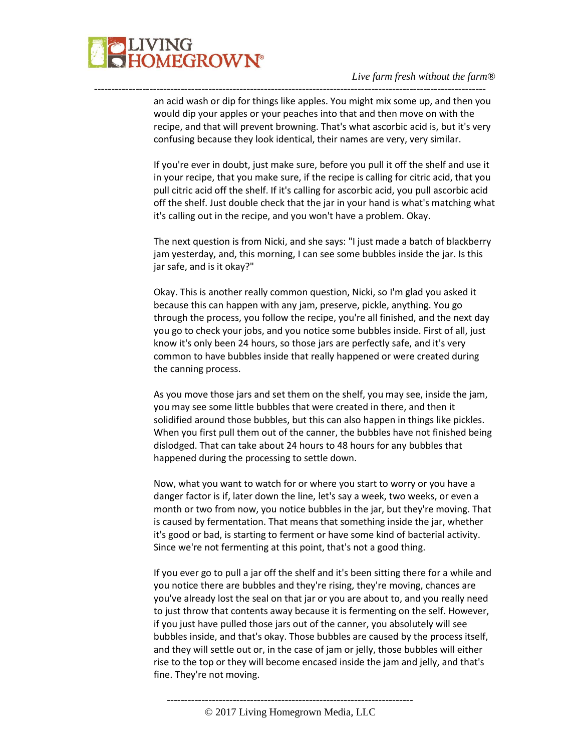

an acid wash or dip for things like apples. You might mix some up, and then you would dip your apples or your peaches into that and then move on with the recipe, and that will prevent browning. That's what ascorbic acid is, but it's very confusing because they look identical, their names are very, very similar.

-----------------------------------------------------------------------------------------------------------------

If you're ever in doubt, just make sure, before you pull it off the shelf and use it in your recipe, that you make sure, if the recipe is calling for citric acid, that you pull citric acid off the shelf. If it's calling for ascorbic acid, you pull ascorbic acid off the shelf. Just double check that the jar in your hand is what's matching what it's calling out in the recipe, and you won't have a problem. Okay.

The next question is from Nicki, and she says: "I just made a batch of blackberry jam yesterday, and, this morning, I can see some bubbles inside the jar. Is this jar safe, and is it okay?"

Okay. This is another really common question, Nicki, so I'm glad you asked it because this can happen with any jam, preserve, pickle, anything. You go through the process, you follow the recipe, you're all finished, and the next day you go to check your jobs, and you notice some bubbles inside. First of all, just know it's only been 24 hours, so those jars are perfectly safe, and it's very common to have bubbles inside that really happened or were created during the canning process.

As you move those jars and set them on the shelf, you may see, inside the jam, you may see some little bubbles that were created in there, and then it solidified around those bubbles, but this can also happen in things like pickles. When you first pull them out of the canner, the bubbles have not finished being dislodged. That can take about 24 hours to 48 hours for any bubbles that happened during the processing to settle down.

Now, what you want to watch for or where you start to worry or you have a danger factor is if, later down the line, let's say a week, two weeks, or even a month or two from now, you notice bubbles in the jar, but they're moving. That is caused by fermentation. That means that something inside the jar, whether it's good or bad, is starting to ferment or have some kind of bacterial activity. Since we're not fermenting at this point, that's not a good thing.

If you ever go to pull a jar off the shelf and it's been sitting there for a while and you notice there are bubbles and they're rising, they're moving, chances are you've already lost the seal on that jar or you are about to, and you really need to just throw that contents away because it is fermenting on the self. However, if you just have pulled those jars out of the canner, you absolutely will see bubbles inside, and that's okay. Those bubbles are caused by the process itself, and they will settle out or, in the case of jam or jelly, those bubbles will either rise to the top or they will become encased inside the jam and jelly, and that's fine. They're not moving.

----------------------------------------------------------------------- © 2017 Living Homegrown Media, LLC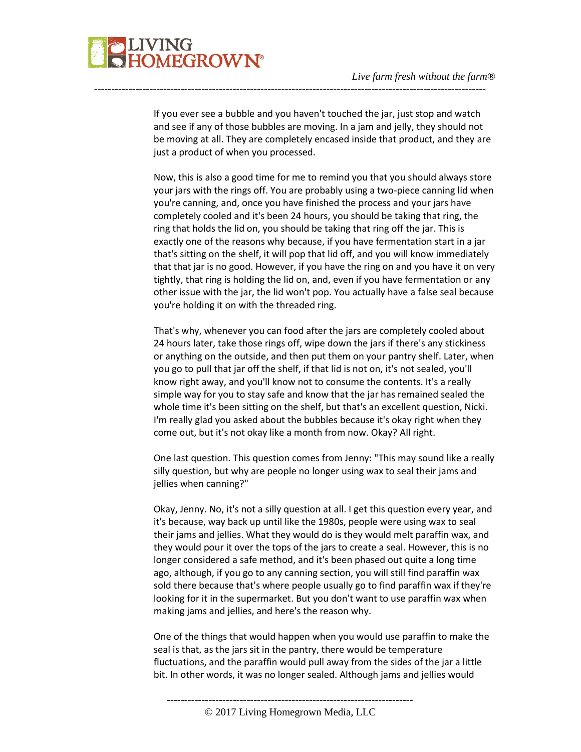If you ever see a bubble and you haven't touched the jar, just stop and watch and see if any of those bubbles are moving. In a jam and jelly, they should not be moving at all. They are completely encased inside that product, and they are just a product of when you processed.

-----------------------------------------------------------------------------------------------------------------

Now, this is also a good time for me to remind you that you should always store your jars with the rings off. You are probably using a two-piece canning lid when you're canning, and, once you have finished the process and your jars have completely cooled and it's been 24 hours, you should be taking that ring, the ring that holds the lid on, you should be taking that ring off the jar. This is exactly one of the reasons why because, if you have fermentation start in a jar that's sitting on the shelf, it will pop that lid off, and you will know immediately that that jar is no good. However, if you have the ring on and you have it on very tightly, that ring is holding the lid on, and, even if you have fermentation or any other issue with the jar, the lid won't pop. You actually have a false seal because you're holding it on with the threaded ring.

That's why, whenever you can food after the jars are completely cooled about 24 hours later, take those rings off, wipe down the jars if there's any stickiness or anything on the outside, and then put them on your pantry shelf. Later, when you go to pull that jar off the shelf, if that lid is not on, it's not sealed, you'll know right away, and you'll know not to consume the contents. It's a really simple way for you to stay safe and know that the jar has remained sealed the whole time it's been sitting on the shelf, but that's an excellent question, Nicki. I'm really glad you asked about the bubbles because it's okay right when they come out, but it's not okay like a month from now. Okay? All right.

One last question. This question comes from Jenny: "This may sound like a really silly question, but why are people no longer using wax to seal their jams and jellies when canning?"

Okay, Jenny. No, it's not a silly question at all. I get this question every year, and it's because, way back up until like the 1980s, people were using wax to seal their jams and jellies. What they would do is they would melt paraffin wax, and they would pour it over the tops of the jars to create a seal. However, this is no longer considered a safe method, and it's been phased out quite a long time ago, although, if you go to any canning section, you will still find paraffin wax sold there because that's where people usually go to find paraffin wax if they're looking for it in the supermarket. But you don't want to use paraffin wax when making jams and jellies, and here's the reason why.

One of the things that would happen when you would use paraffin to make the seal is that, as the jars sit in the pantry, there would be temperature fluctuations, and the paraffin would pull away from the sides of the jar a little bit. In other words, it was no longer sealed. Although jams and jellies would

-----------------------------------------------------------------------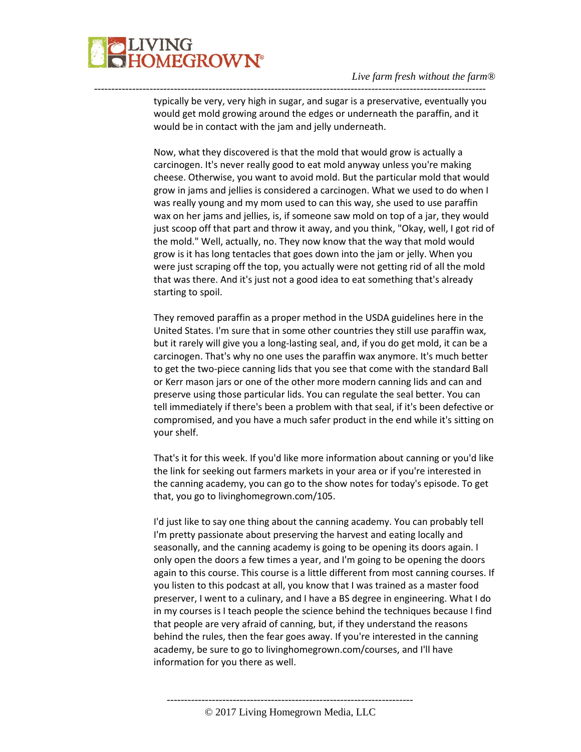

typically be very, very high in sugar, and sugar is a preservative, eventually you would get mold growing around the edges or underneath the paraffin, and it would be in contact with the jam and jelly underneath.

-----------------------------------------------------------------------------------------------------------------

Now, what they discovered is that the mold that would grow is actually a carcinogen. It's never really good to eat mold anyway unless you're making cheese. Otherwise, you want to avoid mold. But the particular mold that would grow in jams and jellies is considered a carcinogen. What we used to do when I was really young and my mom used to can this way, she used to use paraffin wax on her jams and jellies, is, if someone saw mold on top of a jar, they would just scoop off that part and throw it away, and you think, "Okay, well, I got rid of the mold." Well, actually, no. They now know that the way that mold would grow is it has long tentacles that goes down into the jam or jelly. When you were just scraping off the top, you actually were not getting rid of all the mold that was there. And it's just not a good idea to eat something that's already starting to spoil.

They removed paraffin as a proper method in the USDA guidelines here in the United States. I'm sure that in some other countries they still use paraffin wax, but it rarely will give you a long-lasting seal, and, if you do get mold, it can be a carcinogen. That's why no one uses the paraffin wax anymore. It's much better to get the two-piece canning lids that you see that come with the standard Ball or Kerr mason jars or one of the other more modern canning lids and can and preserve using those particular lids. You can regulate the seal better. You can tell immediately if there's been a problem with that seal, if it's been defective or compromised, and you have a much safer product in the end while it's sitting on your shelf.

That's it for this week. If you'd like more information about canning or you'd like the link for seeking out farmers markets in your area or if you're interested in the canning academy, you can go to the show notes for today's episode. To get that, you go to livinghomegrown.com/105.

I'd just like to say one thing about the canning academy. You can probably tell I'm pretty passionate about preserving the harvest and eating locally and seasonally, and the canning academy is going to be opening its doors again. I only open the doors a few times a year, and I'm going to be opening the doors again to this course. This course is a little different from most canning courses. If you listen to this podcast at all, you know that I was trained as a master food preserver, I went to a culinary, and I have a BS degree in engineering. What I do in my courses is I teach people the science behind the techniques because I find that people are very afraid of canning, but, if they understand the reasons behind the rules, then the fear goes away. If you're interested in the canning academy, be sure to go to livinghomegrown.com/courses, and I'll have information for you there as well.